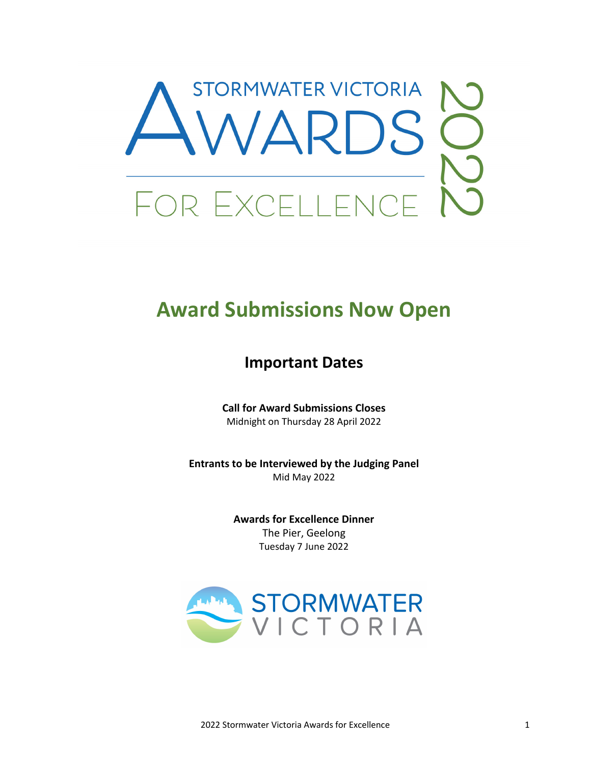

# **Award Submissions Now Open**

## **Important Dates**

**Call for Award Submissions Closes** Midnight on Thursday 28 April 2022

**Entrants to be Interviewed by the Judging Panel** Mid May 2022

> **Awards for Excellence Dinner** The Pier, Geelong Tuesday 7 June 2022

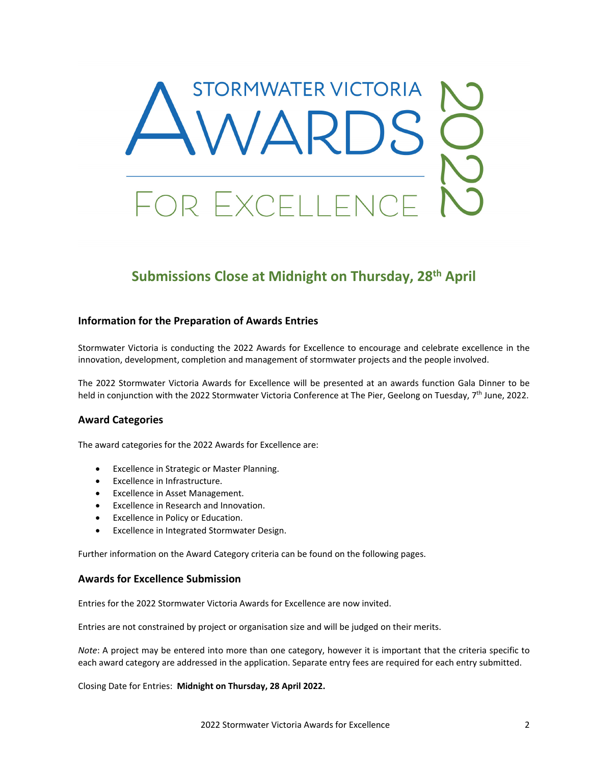

### **Submissions Close at Midnight on Thursday, 28th April**

#### **Information for the Preparation of Awards Entries**

Stormwater Victoria is conducting the 2022 Awards for Excellence to encourage and celebrate excellence in the innovation, development, completion and management of stormwater projects and the people involved.

The 2022 Stormwater Victoria Awards for Excellence will be presented at an awards function Gala Dinner to be held in conjunction with the 2022 Stormwater Victoria Conference at The Pier, Geelong on Tuesday, 7<sup>th</sup> June, 2022.

#### **Award Categories**

The award categories for the 2022 Awards for Excellence are:

- Excellence in Strategic or Master Planning.
- Excellence in Infrastructure.
- Excellence in Asset Management.
- Excellence in Research and Innovation.
- Excellence in Policy or Education.
- Excellence in Integrated Stormwater Design.

Further information on the Award Category criteria can be found on the following pages.

#### **Awards for Excellence Submission**

Entries for the 2022 Stormwater Victoria Awards for Excellence are now invited.

Entries are not constrained by project or organisation size and will be judged on their merits.

*Note*: A project may be entered into more than one category, however it is important that the criteria specific to each award category are addressed in the application. Separate entry fees are required for each entry submitted.

Closing Date for Entries: **Midnight on Thursday, 28 April 2022.**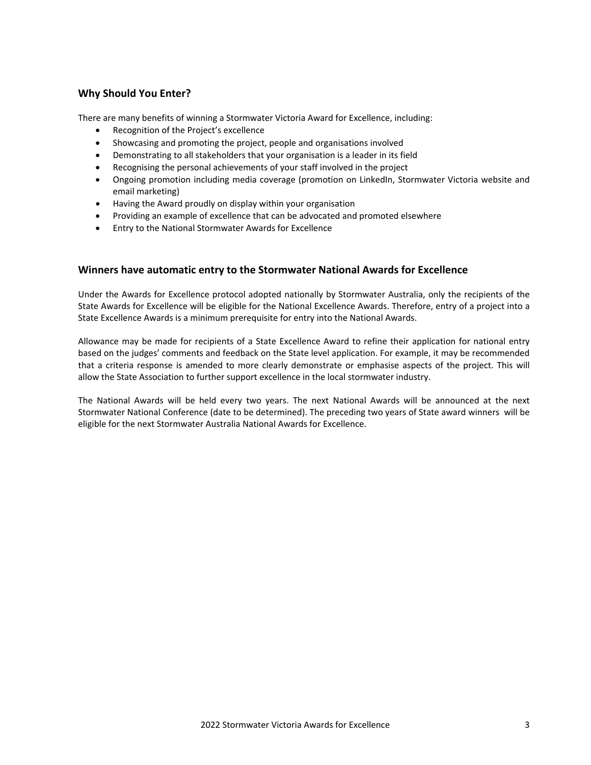#### **Why Should You Enter?**

There are many benefits of winning a Stormwater Victoria Award for Excellence, including:

- Recognition of the Project's excellence
- Showcasing and promoting the project, people and organisations involved
- Demonstrating to all stakeholders that your organisation is a leader in its field
- Recognising the personal achievements of your staff involved in the project
- Ongoing promotion including media coverage (promotion on LinkedIn, Stormwater Victoria website and email marketing)
- Having the Award proudly on display within your organisation
- Providing an example of excellence that can be advocated and promoted elsewhere
- Entry to the National Stormwater Awards for Excellence

#### **Winners have automatic entry to the Stormwater National Awards for Excellence**

Under the Awards for Excellence protocol adopted nationally by Stormwater Australia, only the recipients of the State Awards for Excellence will be eligible for the National Excellence Awards. Therefore, entry of a project into a State Excellence Awards is a minimum prerequisite for entry into the National Awards.

Allowance may be made for recipients of a State Excellence Award to refine their application for national entry based on the judges' comments and feedback on the State level application. For example, it may be recommended that a criteria response is amended to more clearly demonstrate or emphasise aspects of the project. This will allow the State Association to further support excellence in the local stormwater industry.

The National Awards will be held every two years. The next National Awards will be announced at the next Stormwater National Conference (date to be determined). The preceding two years of State award winners will be eligible for the next Stormwater Australia National Awards for Excellence.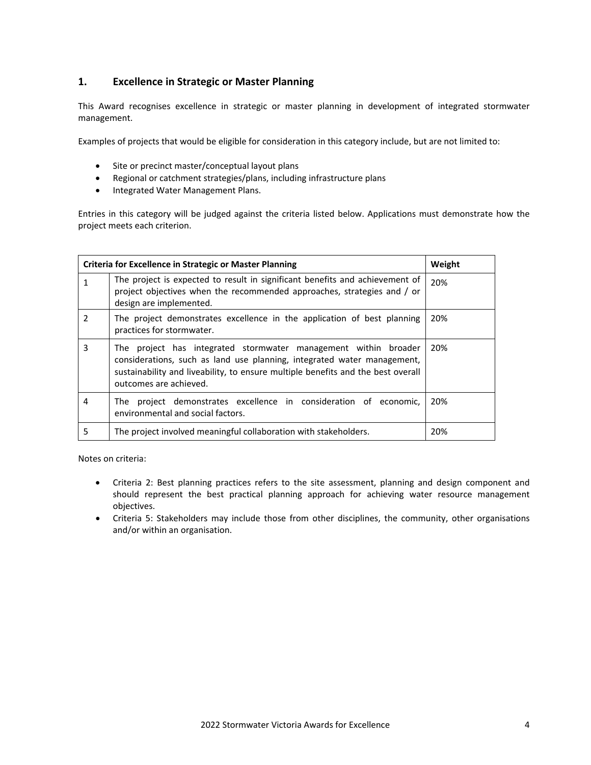#### **1. Excellence in Strategic or Master Planning**

This Award recognises excellence in strategic or master planning in development of integrated stormwater management.

Examples of projects that would be eligible for consideration in this category include, but are not limited to:

- Site or precinct master/conceptual layout plans
- Regional or catchment strategies/plans, including infrastructure plans
- Integrated Water Management Plans.

Entries in this category will be judged against the criteria listed below. Applications must demonstrate how the project meets each criterion.

|               | <b>Criteria for Excellence in Strategic or Master Planning</b>                                                                                                                                                                                           | Weight |
|---------------|----------------------------------------------------------------------------------------------------------------------------------------------------------------------------------------------------------------------------------------------------------|--------|
|               | The project is expected to result in significant benefits and achievement of<br>project objectives when the recommended approaches, strategies and / or<br>design are implemented.                                                                       | 20%    |
| $\mathcal{P}$ | The project demonstrates excellence in the application of best planning<br>practices for stormwater.                                                                                                                                                     | 20%    |
| 3             | The project has integrated stormwater management within broader<br>considerations, such as land use planning, integrated water management,<br>sustainability and liveability, to ensure multiple benefits and the best overall<br>outcomes are achieved. | 20%    |
| 4             | The project demonstrates excellence in consideration of economic,<br>environmental and social factors.                                                                                                                                                   | 20%    |
| 5             | The project involved meaningful collaboration with stakeholders.                                                                                                                                                                                         | 20%    |

- Criteria 2: Best planning practices refers to the site assessment, planning and design component and should represent the best practical planning approach for achieving water resource management objectives.
- Criteria 5: Stakeholders may include those from other disciplines, the community, other organisations and/or within an organisation.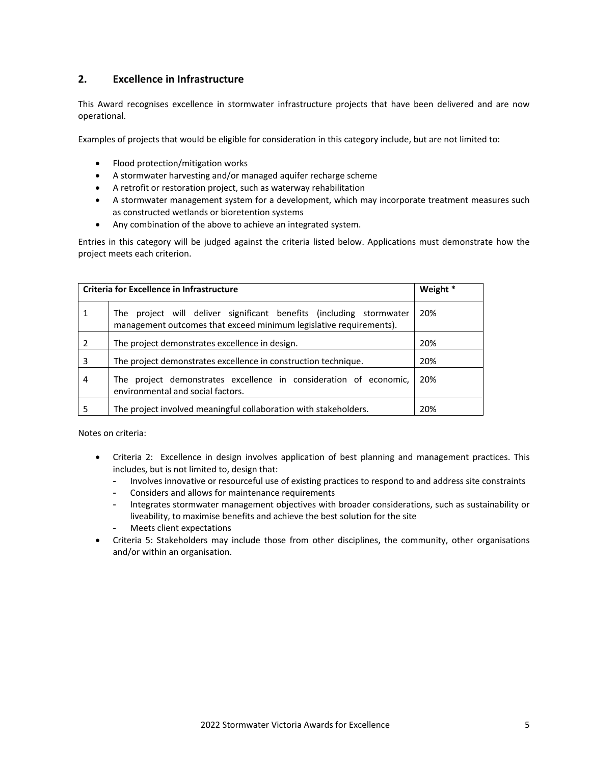#### **2. Excellence in Infrastructure**

This Award recognises excellence in stormwater infrastructure projects that have been delivered and are now operational.

Examples of projects that would be eligible for consideration in this category include, but are not limited to:

- Flood protection/mitigation works
- A stormwater harvesting and/or managed aquifer recharge scheme
- A retrofit or restoration project, such as waterway rehabilitation
- A stormwater management system for a development, which may incorporate treatment measures such as constructed wetlands or bioretention systems
- Any combination of the above to achieve an integrated system.

Entries in this category will be judged against the criteria listed below. Applications must demonstrate how the project meets each criterion.

|   | <b>Criteria for Excellence in Infrastructure</b>                                                                                          | Weight * |
|---|-------------------------------------------------------------------------------------------------------------------------------------------|----------|
| 1 | The project will deliver significant benefits (including stormwater<br>management outcomes that exceed minimum legislative requirements). | 20%      |
| 2 | The project demonstrates excellence in design.                                                                                            | 20%      |
| 3 | The project demonstrates excellence in construction technique.                                                                            | 20%      |
| 4 | The project demonstrates excellence in consideration of economic,<br>environmental and social factors.                                    | 20%      |
| 5 | The project involved meaningful collaboration with stakeholders.                                                                          | 20%      |

- Criteria 2: Excellence in design involves application of best planning and management practices. This includes, but is not limited to, design that:
	- Involves innovative or resourceful use of existing practices to respond to and address site constraints
	- Considers and allows for maintenance requirements
	- Integrates stormwater management objectives with broader considerations, such as sustainability or liveability, to maximise benefits and achieve the best solution for the site
	- Meets client expectations
- Criteria 5: Stakeholders may include those from other disciplines, the community, other organisations and/or within an organisation.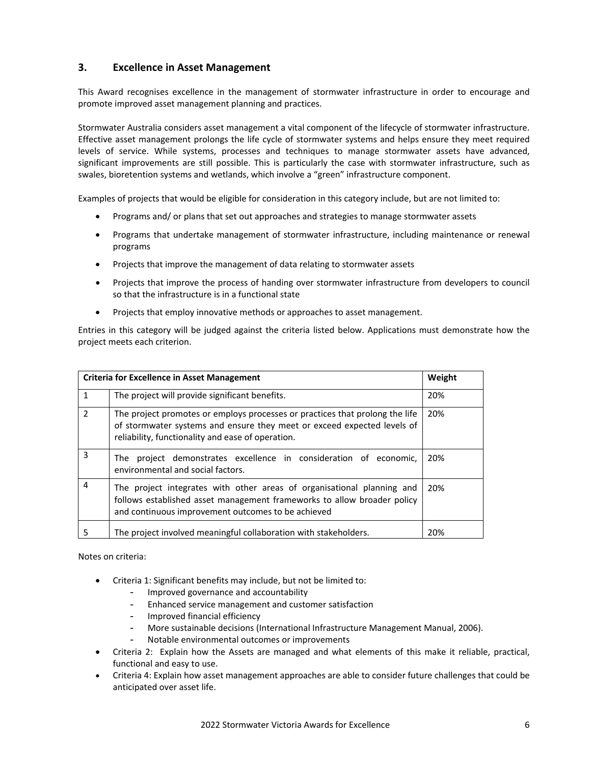#### **3. Excellence in Asset Management**

This Award recognises excellence in the management of stormwater infrastructure in order to encourage and promote improved asset management planning and practices.

Stormwater Australia considers asset management a vital component of the lifecycle of stormwater infrastructure. Effective asset management prolongs the life cycle of stormwater systems and helps ensure they meet required levels of service. While systems, processes and techniques to manage stormwater assets have advanced, significant improvements are still possible. This is particularly the case with stormwater infrastructure, such as swales, bioretention systems and wetlands, which involve a "green" infrastructure component.

Examples of projects that would be eligible for consideration in this category include, but are not limited to:

- Programs and/ or plans that set out approaches and strategies to manage stormwater assets
- Programs that undertake management of stormwater infrastructure, including maintenance or renewal programs
- Projects that improve the management of data relating to stormwater assets
- Projects that improve the process of handing over stormwater infrastructure from developers to council so that the infrastructure is in a functional state
- Projects that employ innovative methods or approaches to asset management.

Entries in this category will be judged against the criteria listed below. Applications must demonstrate how the project meets each criterion.

| <b>Criteria for Excellence in Asset Management</b> |                                                                                                                                                                                                              | Weight |
|----------------------------------------------------|--------------------------------------------------------------------------------------------------------------------------------------------------------------------------------------------------------------|--------|
| $\mathbf{1}$                                       | The project will provide significant benefits.                                                                                                                                                               | 20%    |
| $\mathcal{P}$                                      | The project promotes or employs processes or practices that prolong the life<br>of stormwater systems and ensure they meet or exceed expected levels of<br>reliability, functionality and ease of operation. | 20%    |
| 3                                                  | The project demonstrates excellence in consideration of economic,<br>environmental and social factors.                                                                                                       | 20%    |
| $\overline{4}$                                     | The project integrates with other areas of organisational planning and<br>follows established asset management frameworks to allow broader policy<br>and continuous improvement outcomes to be achieved      | 20%    |
| 5                                                  | The project involved meaningful collaboration with stakeholders.                                                                                                                                             | 20%    |

- Criteria 1: Significant benefits may include, but not be limited to:
	- Improved governance and accountability
	- Enhanced service management and customer satisfaction
	- Improved financial efficiency
	- More sustainable decisions (International Infrastructure Management Manual, 2006).
	- Notable environmental outcomes or improvements
- Criteria 2: Explain how the Assets are managed and what elements of this make it reliable, practical, functional and easy to use.
- Criteria 4: Explain how asset management approaches are able to consider future challenges that could be anticipated over asset life.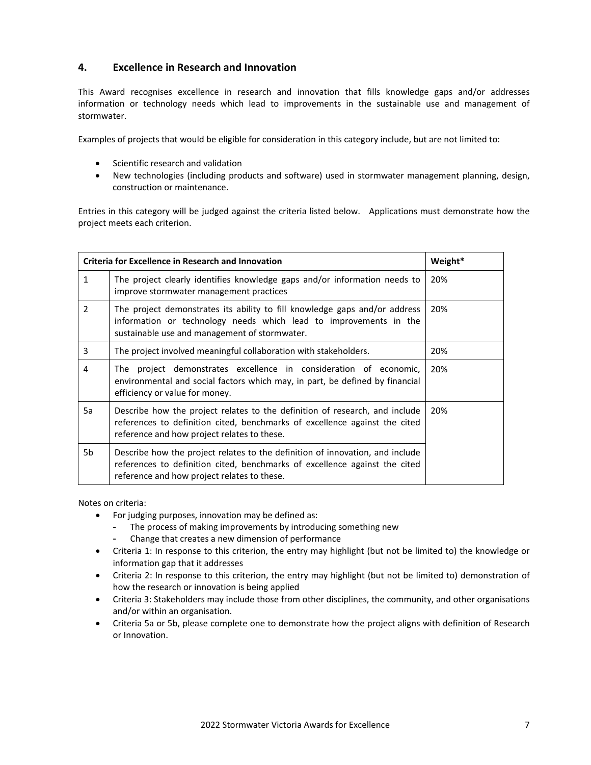#### **4. Excellence in Research and Innovation**

This Award recognises excellence in research and innovation that fills knowledge gaps and/or addresses information or technology needs which lead to improvements in the sustainable use and management of stormwater.

Examples of projects that would be eligible for consideration in this category include, but are not limited to:

- Scientific research and validation
- New technologies (including products and software) used in stormwater management planning, design, construction or maintenance.

Entries in this category will be judged against the criteria listed below. Applications must demonstrate how the project meets each criterion.

| <b>Criteria for Excellence in Research and Innovation</b> |                                                                                                                                                                                                            | Weight* |
|-----------------------------------------------------------|------------------------------------------------------------------------------------------------------------------------------------------------------------------------------------------------------------|---------|
| $\mathbf{1}$                                              | The project clearly identifies knowledge gaps and/or information needs to<br>improve stormwater management practices                                                                                       | 20%     |
| $\mathcal{P}$                                             | The project demonstrates its ability to fill knowledge gaps and/or address<br>information or technology needs which lead to improvements in the<br>sustainable use and management of stormwater.           | 20%     |
| 3                                                         | The project involved meaningful collaboration with stakeholders.                                                                                                                                           | 20%     |
| 4                                                         | The project demonstrates excellence in consideration of economic,<br>environmental and social factors which may, in part, be defined by financial<br>efficiency or value for money.                        | 20%     |
| 5a                                                        | Describe how the project relates to the definition of research, and include<br>references to definition cited, benchmarks of excellence against the cited<br>reference and how project relates to these.   | 20%     |
| 5b                                                        | Describe how the project relates to the definition of innovation, and include<br>references to definition cited, benchmarks of excellence against the cited<br>reference and how project relates to these. |         |

- For judging purposes, innovation may be defined as:
	- The process of making improvements by introducing something new
	- Change that creates a new dimension of performance
- Criteria 1: In response to this criterion, the entry may highlight (but not be limited to) the knowledge or information gap that it addresses
- Criteria 2: In response to this criterion, the entry may highlight (but not be limited to) demonstration of how the research or innovation is being applied
- Criteria 3: Stakeholders may include those from other disciplines, the community, and other organisations and/or within an organisation.
- Criteria 5a or 5b, please complete one to demonstrate how the project aligns with definition of Research or Innovation.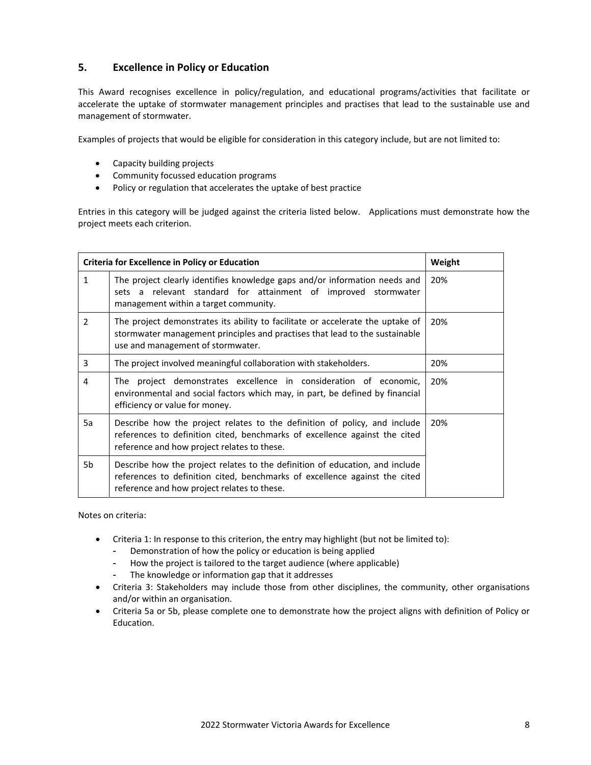#### **5. Excellence in Policy or Education**

This Award recognises excellence in policy/regulation, and educational programs/activities that facilitate or accelerate the uptake of stormwater management principles and practises that lead to the sustainable use and management of stormwater.

Examples of projects that would be eligible for consideration in this category include, but are not limited to:

- Capacity building projects
- Community focussed education programs
- Policy or regulation that accelerates the uptake of best practice

Entries in this category will be judged against the criteria listed below. Applications must demonstrate how the project meets each criterion.

|              | <b>Criteria for Excellence in Policy or Education</b>                                                                                                                                                     | Weight |
|--------------|-----------------------------------------------------------------------------------------------------------------------------------------------------------------------------------------------------------|--------|
| $\mathbf{1}$ | The project clearly identifies knowledge gaps and/or information needs and<br>sets a relevant standard for attainment of improved stormwater<br>management within a target community.                     | 20%    |
| 2            | The project demonstrates its ability to facilitate or accelerate the uptake of<br>stormwater management principles and practises that lead to the sustainable<br>use and management of stormwater.        | 20%    |
| 3            | The project involved meaningful collaboration with stakeholders.                                                                                                                                          | 20%    |
| 4            | The project demonstrates excellence in consideration of economic,<br>environmental and social factors which may, in part, be defined by financial<br>efficiency or value for money.                       | 20%    |
| 5a           | Describe how the project relates to the definition of policy, and include<br>references to definition cited, benchmarks of excellence against the cited<br>reference and how project relates to these.    | 20%    |
| 5b           | Describe how the project relates to the definition of education, and include<br>references to definition cited, benchmarks of excellence against the cited<br>reference and how project relates to these. |        |

- Criteria 1: In response to this criterion, the entry may highlight (but not be limited to):
	- Demonstration of how the policy or education is being applied
	- How the project is tailored to the target audience (where applicable)
	- The knowledge or information gap that it addresses
- Criteria 3: Stakeholders may include those from other disciplines, the community, other organisations and/or within an organisation.
- Criteria 5a or 5b, please complete one to demonstrate how the project aligns with definition of Policy or Education.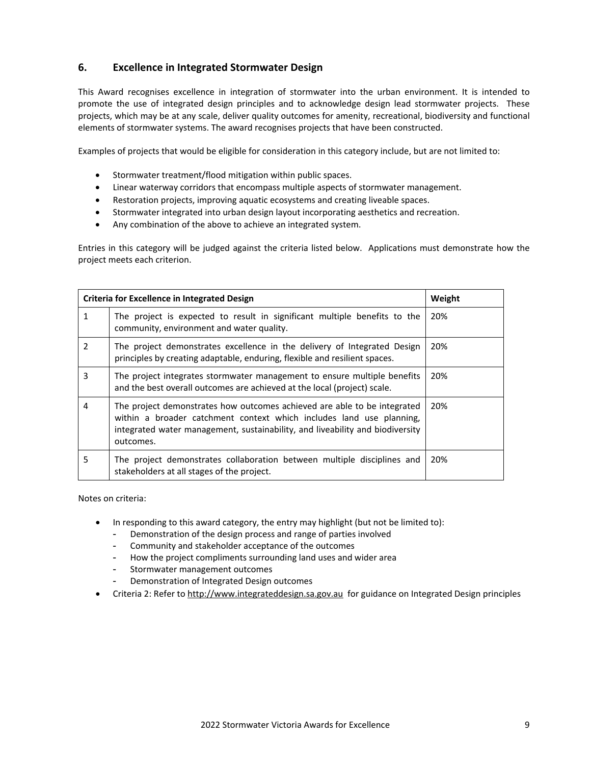#### **6. Excellence in Integrated Stormwater Design**

This Award recognises excellence in integration of stormwater into the urban environment. It is intended to promote the use of integrated design principles and to acknowledge design lead stormwater projects. These projects, which may be at any scale, deliver quality outcomes for amenity, recreational, biodiversity and functional elements of stormwater systems. The award recognises projects that have been constructed.

Examples of projects that would be eligible for consideration in this category include, but are not limited to:

- Stormwater treatment/flood mitigation within public spaces.
- Linear waterway corridors that encompass multiple aspects of stormwater management.
- Restoration projects, improving aquatic ecosystems and creating liveable spaces.
- Stormwater integrated into urban design layout incorporating aesthetics and recreation.
- Any combination of the above to achieve an integrated system.

Entries in this category will be judged against the criteria listed below. Applications must demonstrate how the project meets each criterion.

|   | Criteria for Excellence in Integrated Design                                                                                                                                                                                                   | Weight |
|---|------------------------------------------------------------------------------------------------------------------------------------------------------------------------------------------------------------------------------------------------|--------|
| 1 | The project is expected to result in significant multiple benefits to the<br>community, environment and water quality.                                                                                                                         | 20%    |
| 2 | The project demonstrates excellence in the delivery of Integrated Design<br>principles by creating adaptable, enduring, flexible and resilient spaces.                                                                                         | 20%    |
| 3 | The project integrates stormwater management to ensure multiple benefits<br>and the best overall outcomes are achieved at the local (project) scale.                                                                                           | 20%    |
| 4 | The project demonstrates how outcomes achieved are able to be integrated<br>within a broader catchment context which includes land use planning,<br>integrated water management, sustainability, and liveability and biodiversity<br>outcomes. | 20%    |
| 5 | The project demonstrates collaboration between multiple disciplines and<br>stakeholders at all stages of the project.                                                                                                                          | 20%    |

- In responding to this award category, the entry may highlight (but not be limited to):
	- Demonstration of the design process and range of parties involved
	- Community and stakeholder acceptance of the outcomes
	- How the project compliments surrounding land uses and wider area
	- Stormwater management outcomes
	- Demonstration of Integrated Design outcomes
- Criteria 2: Refer to http://www.integrateddesign.sa.gov.au for guidance on Integrated Design principles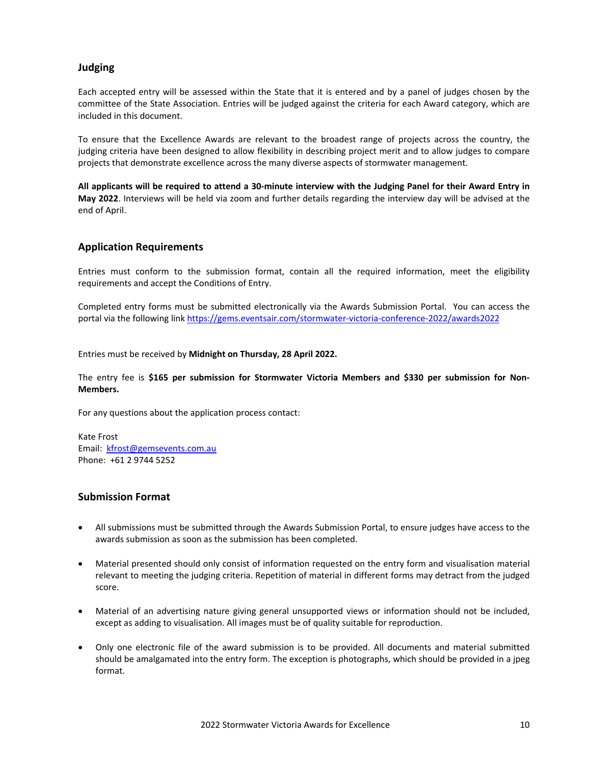#### **Judging**

Each accepted entry will be assessed within the State that it is entered and by a panel of judges chosen by the committee of the State Association. Entries will be judged against the criteria for each Award category, which are included in this document.

To ensure that the Excellence Awards are relevant to the broadest range of projects across the country, the judging criteria have been designed to allow flexibility in describing project merit and to allow judges to compare projects that demonstrate excellence across the many diverse aspects of stormwater management.

All applicants will be required to attend a 30-minute interview with the Judging Panel for their Award Entry in **May 2022**. Interviews will be held via zoom and further details regarding the interview day will be advised at the end of April.

#### **Application Requirements**

Entries must conform to the submission format, contain all the required information, meet the eligibility requirements and accept the Conditions of Entry.

Completed entry forms must be submitted electronically via the Awards Submission Portal. You can access the portal via the following link https://gems.eventsair.com/stormwater‐victoria‐conference‐2022/awards2022

Entries must be received by **Midnight on Thursday, 28 April 2022.**

The entry fee is **\$165 per submission for Stormwater Victoria Members and \$330 per submission for Non‐ Members.** 

For any questions about the application process contact:

Kate Frost Email: kfrost@gemsevents.com.au Phone: +61 2 9744 5252

#### **Submission Format**

- All submissions must be submitted through the Awards Submission Portal, to ensure judges have access to the awards submission as soon as the submission has been completed.
- Material presented should only consist of information requested on the entry form and visualisation material relevant to meeting the judging criteria. Repetition of material in different forms may detract from the judged score.
- Material of an advertising nature giving general unsupported views or information should not be included, except as adding to visualisation. All images must be of quality suitable for reproduction.
- Only one electronic file of the award submission is to be provided. All documents and material submitted should be amalgamated into the entry form. The exception is photographs, which should be provided in a jpeg format.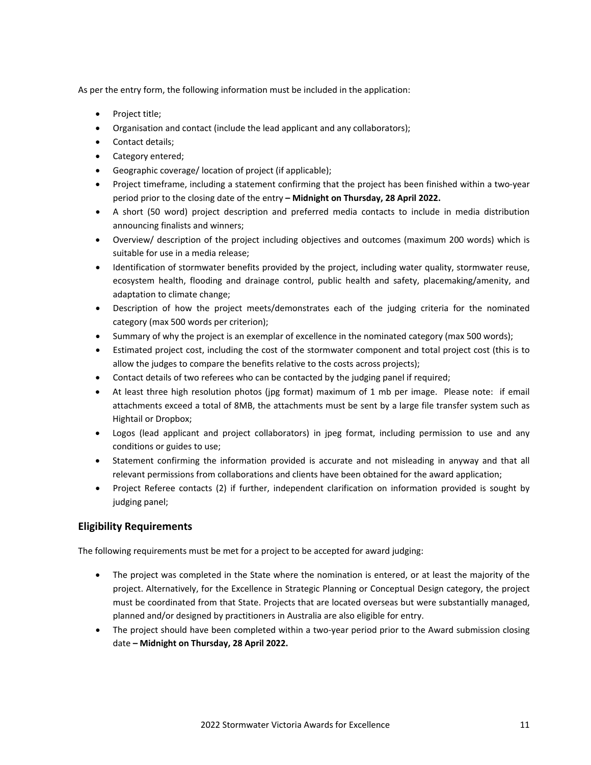As per the entry form, the following information must be included in the application:

- Project title;
- Organisation and contact (include the lead applicant and any collaborators);
- Contact details;
- Category entered;
- Geographic coverage/ location of project (if applicable);
- Project timeframe, including a statement confirming that the project has been finished within a two‐year period prior to the closing date of the entry **– Midnight on Thursday, 28 April 2022.**
- A short (50 word) project description and preferred media contacts to include in media distribution announcing finalists and winners;
- Overview/ description of the project including objectives and outcomes (maximum 200 words) which is suitable for use in a media release;
- Identification of stormwater benefits provided by the project, including water quality, stormwater reuse, ecosystem health, flooding and drainage control, public health and safety, placemaking/amenity, and adaptation to climate change;
- Description of how the project meets/demonstrates each of the judging criteria for the nominated category (max 500 words per criterion);
- Summary of why the project is an exemplar of excellence in the nominated category (max 500 words);
- Estimated project cost, including the cost of the stormwater component and total project cost (this is to allow the judges to compare the benefits relative to the costs across projects);
- Contact details of two referees who can be contacted by the judging panel if required;
- At least three high resolution photos (jpg format) maximum of 1 mb per image. Please note: if email attachments exceed a total of 8MB, the attachments must be sent by a large file transfer system such as Hightail or Dropbox;
- Logos (lead applicant and project collaborators) in jpeg format, including permission to use and any conditions or guides to use;
- Statement confirming the information provided is accurate and not misleading in anyway and that all relevant permissions from collaborations and clients have been obtained for the award application;
- Project Referee contacts (2) if further, independent clarification on information provided is sought by judging panel;

#### **Eligibility Requirements**

The following requirements must be met for a project to be accepted for award judging:

- The project was completed in the State where the nomination is entered, or at least the majority of the project. Alternatively, for the Excellence in Strategic Planning or Conceptual Design category, the project must be coordinated from that State. Projects that are located overseas but were substantially managed, planned and/or designed by practitioners in Australia are also eligible for entry.
- The project should have been completed within a two-year period prior to the Award submission closing date **– Midnight on Thursday, 28 April 2022.**